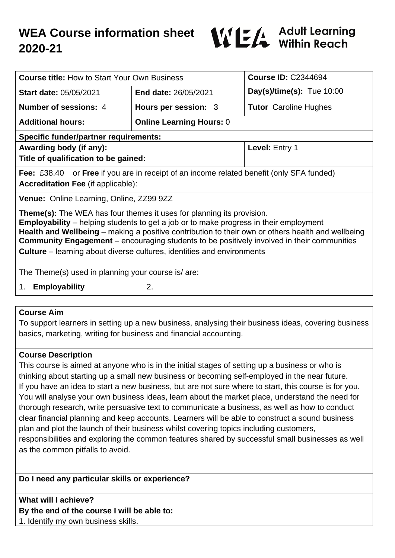# **WEA Course information sheet 2020-21**



| <b>Course title: How to Start Your Own Business</b>                                                                                                                                                                                                                                                                                                                                                                                                                     |                                 | <b>Course ID: C2344694</b>   |
|-------------------------------------------------------------------------------------------------------------------------------------------------------------------------------------------------------------------------------------------------------------------------------------------------------------------------------------------------------------------------------------------------------------------------------------------------------------------------|---------------------------------|------------------------------|
| <b>Start date: 05/05/2021</b>                                                                                                                                                                                                                                                                                                                                                                                                                                           | <b>End date: 26/05/2021</b>     | Day(s)/time(s): Tue $10:00$  |
| Number of sessions: 4                                                                                                                                                                                                                                                                                                                                                                                                                                                   | Hours per session: 3            | <b>Tutor</b> Caroline Hughes |
| <b>Additional hours:</b>                                                                                                                                                                                                                                                                                                                                                                                                                                                | <b>Online Learning Hours: 0</b> |                              |
| <b>Specific funder/partner requirements:</b>                                                                                                                                                                                                                                                                                                                                                                                                                            |                                 |                              |
| Awarding body (if any):                                                                                                                                                                                                                                                                                                                                                                                                                                                 |                                 | Level: Entry 1               |
| Title of qualification to be gained:                                                                                                                                                                                                                                                                                                                                                                                                                                    |                                 |                              |
| Fee: £38.40 or Free if you are in receipt of an income related benefit (only SFA funded)                                                                                                                                                                                                                                                                                                                                                                                |                                 |                              |
| <b>Accreditation Fee (if applicable):</b>                                                                                                                                                                                                                                                                                                                                                                                                                               |                                 |                              |
| <b>Venue:</b> Online Learning, Online, ZZ99 9ZZ                                                                                                                                                                                                                                                                                                                                                                                                                         |                                 |                              |
| <b>Theme(s):</b> The WEA has four themes it uses for planning its provision.<br><b>Employability</b> – helping students to get a job or to make progress in their employment<br>Health and Wellbeing – making a positive contribution to their own or others health and wellbeing<br><b>Community Engagement</b> – encouraging students to be positively involved in their communities<br><b>Culture</b> – learning about diverse cultures, identities and environments |                                 |                              |
| The Theme(s) used in planning your course is/ are:                                                                                                                                                                                                                                                                                                                                                                                                                      |                                 |                              |
| 2.<br><b>Employability</b><br>1.                                                                                                                                                                                                                                                                                                                                                                                                                                        |                                 |                              |

#### **Course Aim**

To support learners in setting up a new business, analysing their business ideas, covering business basics, marketing, writing for business and financial accounting.

#### **Course Description**

This course is aimed at anyone who is in the initial stages of setting up a business or who is thinking about starting up a small new business or becoming self-employed in the near future. If you have an idea to start a new business, but are not sure where to start, this course is for you. You will analyse your own business ideas, learn about the market place, understand the need for thorough research, write persuasive text to communicate a business, as well as how to conduct clear financial planning and keep accounts. Learners will be able to construct a sound business plan and plot the launch of their business whilst covering topics including customers, responsibilities and exploring the common features shared by successful small businesses as well as the common pitfalls to avoid.

#### **Do I need any particular skills or experience?**

**What will I achieve? By the end of the course I will be able to:** 1. Identify my own business skills.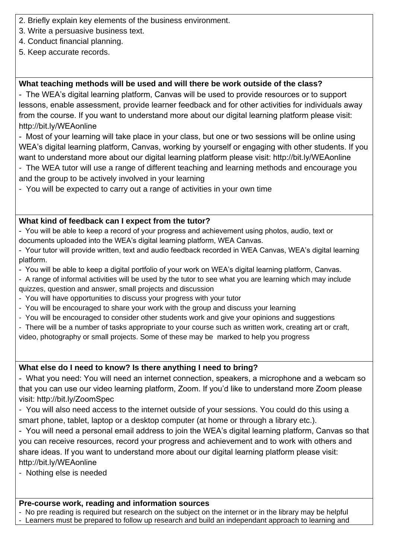- 2. Briefly explain key elements of the business environment.
- 3. Write a persuasive business text.
- 4. Conduct financial planning.
- 5. Keep accurate records.

## **What teaching methods will be used and will there be work outside of the class?**

- The WEA's digital learning platform, Canvas will be used to provide resources or to support lessons, enable assessment, provide learner feedback and for other activities for individuals away from the course. If you want to understand more about our digital learning platform please visit: http://bit.ly/WEAonline

- Most of your learning will take place in your class, but one or two sessions will be online using WEA's digital learning platform, Canvas, working by yourself or engaging with other students. If you want to understand more about our digital learning platform please visit: http://bit.ly/WEAonline

- The WEA tutor will use a range of different teaching and learning methods and encourage you and the group to be actively involved in your learning
- You will be expected to carry out a range of activities in your own time

### **What kind of feedback can I expect from the tutor?**

- You will be able to keep a record of your progress and achievement using photos, audio, text or documents uploaded into the WEA's digital learning platform, WEA Canvas.

- Your tutor will provide written, text and audio feedback recorded in WEA Canvas, WEA's digital learning platform.
- You will be able to keep a digital portfolio of your work on WEA's digital learning platform, Canvas.
- A range of informal activities will be used by the tutor to see what you are learning which may include quizzes, question and answer, small projects and discussion
- You will have opportunities to discuss your progress with your tutor
- You will be encouraged to share your work with the group and discuss your learning
- You will be encouraged to consider other students work and give your opinions and suggestions
- There will be a number of tasks appropriate to your course such as written work, creating art or craft, video, photography or small projects. Some of these may be marked to help you progress

## **What else do I need to know? Is there anything I need to bring?**

- What you need: You will need an internet connection, speakers, a microphone and a webcam so that you can use our video learning platform, Zoom. If you'd like to understand more Zoom please visit: http://bit.ly/ZoomSpec

- You will also need access to the internet outside of your sessions. You could do this using a smart phone, tablet, laptop or a desktop computer (at home or through a library etc.).

- You will need a personal email address to join the WEA's digital learning platform, Canvas so that you can receive resources, record your progress and achievement and to work with others and share ideas. If you want to understand more about our digital learning platform please visit: http://bit.ly/WEAonline

- Nothing else is needed

#### **Pre-course work, reading and information sources**

- No pre reading is required but research on the subject on the internet or in the library may be helpful

- Learners must be prepared to follow up research and build an independant approach to learning and